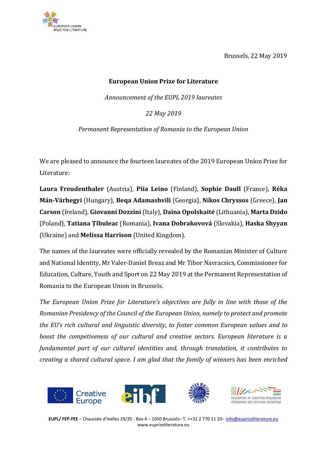

Brussels, 22 May 2019

## **European Union Prize for Literature**

*Announcement of the EUPL 2019 laureates* 

*22 May 2019*

*Permanent Representation of Romania to the European Union* 

We are pleased to announce the fourteen laureates of the 2019 European Union Prize for Literature:

**Laura Freudenthaler** (Austria), **Piia Leino** (Finland), **Sophie Daull** (France), **Réka Mán-Várhegyi** (Hungary), **Beqa Adamashvili** (Georgia), **Nikos Chryssos** (Greece), **Jan Carson** (Ireland), **Giovanni Dozzini** (Italy), **Daina Opolskaitė** (Lithuania), **Marta Dzido** (Poland), **Tatiana Țîbuleac** (Romania), **Ivana Dobrakovová** (Slovakia), **Haska Shyyan** (Ukraine) and **Melissa Harrison** (United Kingdom).

The names of the laureates were officially revealed by the Romanian Minister of Culture and National Identity, Mr Valer-Daniel Breaz and Mr Tibor Navracsics, Commissioner for Education, Culture, Youth and Sport on 22 May 2019 at the Permanent Representation of Romania to the European Union in Brussels.

*The European Union Prize for Literature's objectives are fully in line with those of the Romanian Presidency of the Council of the European Union, namely to protect and promote the EU's rich cultural and linguistic diversity, to foster common European values and to boost the competiveness of our cultural and creative sectors. European literature is a fundamental part of our cultural identities and, through translation, it contributes to creating a shared cultural space. I am glad that the family of winners has been enriched* 

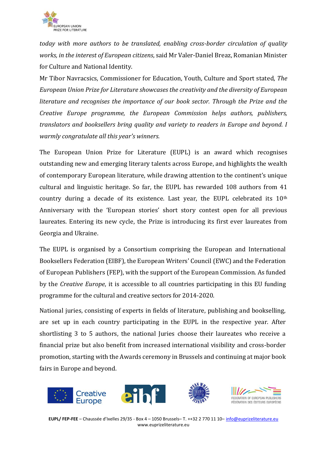

*today with more authors to be translated, enabling cross-border circulation of quality works, in the interest of European citizens*, said Mr Valer-Daniel Breaz, Romanian Minister for Culture and National Identity.

Mr Tibor Navracsics, Commissioner for Education, Youth, Culture and Sport stated, *The European Union Prize for Literature showcases the creativity and the diversity of European literature and recognises the importance of our book sector. Through the Prize and the Creative Europe programme, the European Commission helps authors, publishers, translators and booksellers bring quality and variety to readers in Europe and beyond. I warmly congratulate all this year's winners.*

The European Union Prize for Literature (EUPL) is an award which recognises outstanding new and emerging literary talents across Europe, and highlights the wealth of contemporary European literature, while drawing attention to the continent's unique cultural and linguistic heritage. So far, the EUPL has rewarded 108 authors from 41 country during a decade of its existence. Last year, the EUPL celebrated its  $10<sup>th</sup>$ Anniversary with the 'European stories' short story contest open for all previous laureates. Entering its new cycle, the Prize is introducing its first ever laureates from Georgia and Ukraine.

The EUPL is organised by a Consortium comprising the European and International Booksellers Federation (EIBF), the European Writers' Council (EWC) and the Federation of European Publishers (FEP), with the support of the European Commission. As funded by the *Creative Europe*, it is accessible to all countries participating in this EU funding programme for the cultural and creative sectors for 2014-2020.

National juries, consisting of experts in fields of literature, publishing and bookselling, are set up in each country participating in the EUPL in the respective year. After shortlisting 3 to 5 authors, the national Juries choose their laureates who receive a financial prize but also benefit from increased international visibility and cross-border promotion, starting with the Awards ceremony in Brussels and continuing at major book fairs in Europe and beyond.

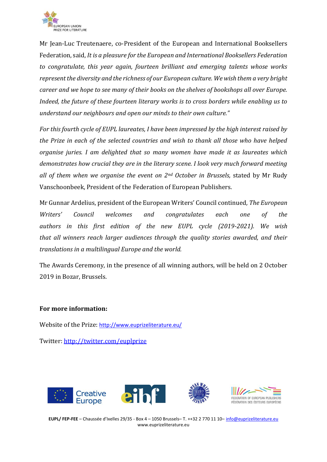

Mr Jean-Luc Treutenaere, co-President of the European and International Booksellers Federation, said, *It is a pleasure for the European and International Booksellers Federation to congratulate, this year again, fourteen brilliant and emerging talents whose works represent the diversity and the richness of our European culture. We wish them a very bright career and we hope to see many of their books on the shelves of bookshops all over Europe. Indeed, the future of these fourteen literary works is to cross borders while enabling us to understand our neighbours and open our minds to their own culture."*

*For this fourth cycle of EUPL laureates, I have been impressed by the high interest raised by the Prize in each of the selected countries and wish to thank all those who have helped organise juries. I am delighted that so many women have made it as laureates which demonstrates how crucial they are in the literary scene. I look very much forward meeting all of them when we organise the event on 2nd October in Brussels,* stated by Mr Rudy Vanschoonbeek, President of the Federation of European Publishers.

Mr Gunnar Ardelius, president of the European Writers' Council continued*, The European Writers' Council welcomes and congratulates each one of the authors in this first edition of the new EUPL cycle (2019-2021). We wish that all winners reach larger audiences through the quality stories awarded, and their translations in a multilingual Europe and the world.*

The Awards Ceremony, in the presence of all winning authors, will be held on 2 October 2019 in Bozar, Brussels.

## **For more information:**

Website of the Prize: <http://www.euprizeliterature.eu/>

Twitter:<http://twitter.com/euplprize>